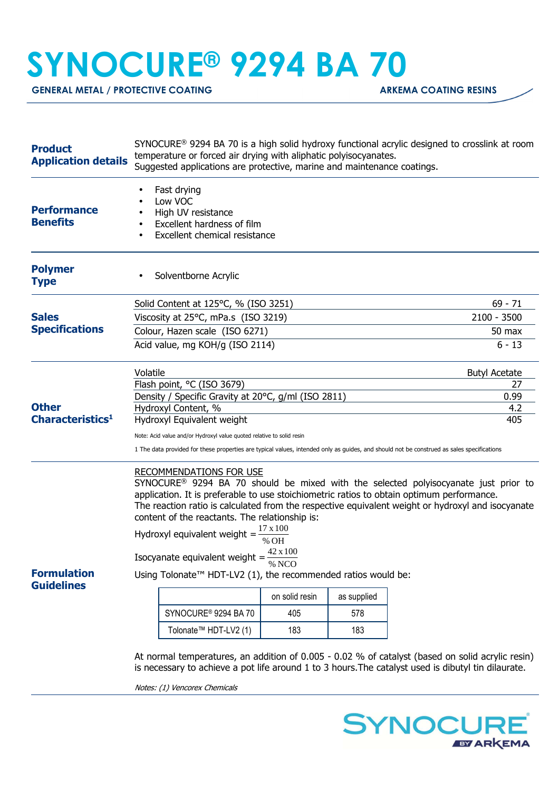## **SYNOCURE® 9294 BA 70**

GENERAL METAL / PROTECTIVE COATING **ARKEMA COATING RESINS** 

| <b>Product</b><br><b>Application details</b>                                          | SYNOCURE <sup>®</sup> 9294 BA 70 is a high solid hydroxy functional acrylic designed to crosslink at room<br>temperature or forced air drying with aliphatic polyisocyanates.<br>Suggested applications are protective, marine and maintenance coatings.                                                                                                                                                                                                                                                                                                                                                                                                                                                                                                        |                      |  |  |  |
|---------------------------------------------------------------------------------------|-----------------------------------------------------------------------------------------------------------------------------------------------------------------------------------------------------------------------------------------------------------------------------------------------------------------------------------------------------------------------------------------------------------------------------------------------------------------------------------------------------------------------------------------------------------------------------------------------------------------------------------------------------------------------------------------------------------------------------------------------------------------|----------------------|--|--|--|
| <b>Performance</b><br><b>Benefits</b>                                                 | Fast drying<br>Low VOC<br>High UV resistance<br>Excellent hardness of film<br>Excellent chemical resistance                                                                                                                                                                                                                                                                                                                                                                                                                                                                                                                                                                                                                                                     |                      |  |  |  |
| <b>Polymer</b><br><b>Type</b>                                                         | Solventborne Acrylic                                                                                                                                                                                                                                                                                                                                                                                                                                                                                                                                                                                                                                                                                                                                            |                      |  |  |  |
| <b>Sales</b><br><b>Specifications</b><br><b>Other</b><br>Characteristics <sup>1</sup> | Solid Content at 125°C, % (ISO 3251)                                                                                                                                                                                                                                                                                                                                                                                                                                                                                                                                                                                                                                                                                                                            | $69 - 71$            |  |  |  |
|                                                                                       | Viscosity at 25°C, mPa.s (ISO 3219)                                                                                                                                                                                                                                                                                                                                                                                                                                                                                                                                                                                                                                                                                                                             | $2100 - 3500$        |  |  |  |
|                                                                                       | Colour, Hazen scale (ISO 6271)                                                                                                                                                                                                                                                                                                                                                                                                                                                                                                                                                                                                                                                                                                                                  | 50 max               |  |  |  |
|                                                                                       | Acid value, mg KOH/g (ISO 2114)                                                                                                                                                                                                                                                                                                                                                                                                                                                                                                                                                                                                                                                                                                                                 | $6 - 13$             |  |  |  |
|                                                                                       | Volatile                                                                                                                                                                                                                                                                                                                                                                                                                                                                                                                                                                                                                                                                                                                                                        | <b>Butyl Acetate</b> |  |  |  |
|                                                                                       | Flash point, °C (ISO 3679)                                                                                                                                                                                                                                                                                                                                                                                                                                                                                                                                                                                                                                                                                                                                      | 27                   |  |  |  |
|                                                                                       | Density / Specific Gravity at 20°C, g/ml (ISO 2811)<br>Hydroxyl Content, %                                                                                                                                                                                                                                                                                                                                                                                                                                                                                                                                                                                                                                                                                      | 0.99<br>4.2          |  |  |  |
|                                                                                       | Hydroxyl Equivalent weight                                                                                                                                                                                                                                                                                                                                                                                                                                                                                                                                                                                                                                                                                                                                      | 405                  |  |  |  |
|                                                                                       | Note: Acid value and/or Hydroxyl value quoted relative to solid resin                                                                                                                                                                                                                                                                                                                                                                                                                                                                                                                                                                                                                                                                                           |                      |  |  |  |
|                                                                                       | 1 The data provided for these properties are typical values, intended only as guides, and should not be construed as sales specifications                                                                                                                                                                                                                                                                                                                                                                                                                                                                                                                                                                                                                       |                      |  |  |  |
| <b>Formulation</b><br><b>Guidelines</b>                                               | <b>RECOMMENDATIONS FOR USE</b><br>SYNOCURE <sup>®</sup> 9294 BA 70 should be mixed with the selected polyisocyanate just prior to<br>application. It is preferable to use stoichiometric ratios to obtain optimum performance.<br>The reaction ratio is calculated from the respective equivalent weight or hydroxyl and isocyanate<br>content of the reactants. The relationship is:<br>Hydroxyl equivalent weight = $\frac{17 \times 100}{\% \text{ OH}}$<br>Isocyanate equivalent weight = $\frac{42 \times 100}{80 \times 100}$<br>% NCO<br>Using Tolonate <sup>™</sup> HDT-LV2 (1), the recommended ratios would be:<br>on solid resin<br>as supplied<br>SYNOCURE <sup>®</sup> 9294 BA 70<br>578<br>405<br>Tolonate <sup>™</sup> HDT-LV2 (1)<br>183<br>183 |                      |  |  |  |
|                                                                                       | At normal temperatures, an addition of 0.005 - 0.02 % of catalyst (based on solid acrylic resin)<br>is necessary to achieve a pot life around 1 to 3 hours. The catalyst used is dibutyl tin dilaurate.                                                                                                                                                                                                                                                                                                                                                                                                                                                                                                                                                         |                      |  |  |  |

Notes: (1) Vencorex Chemicals

**SYNOCURE EY ARKEMA**